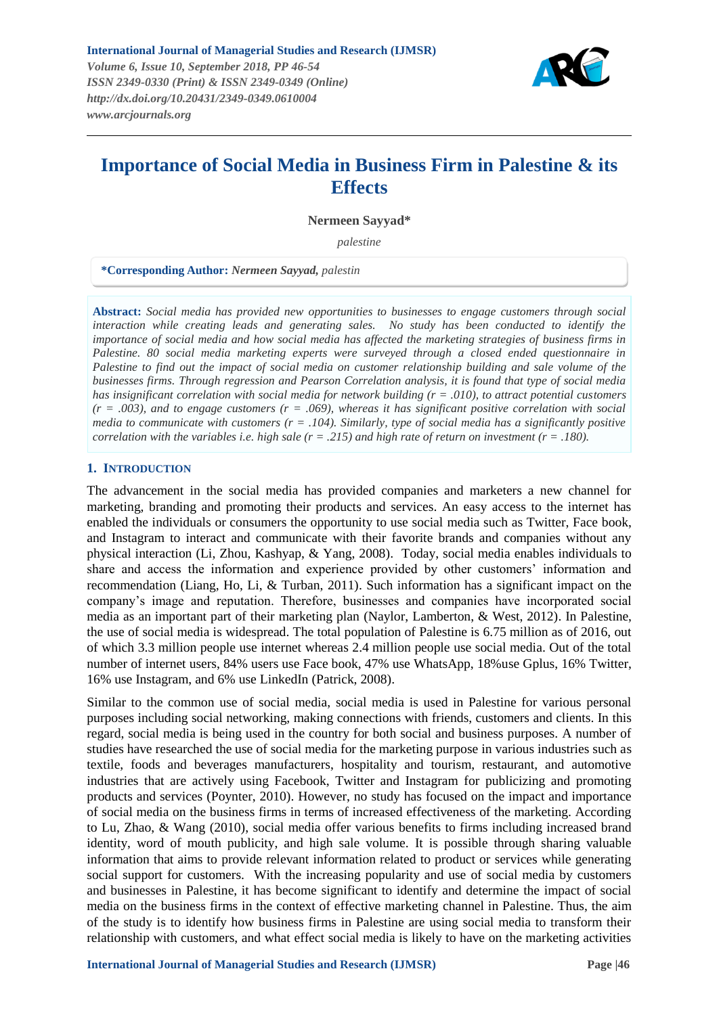

# **Importance of Social Media in Business Firm in Palestine & its Effects**

**Nermeen Sayyad\***

*palestine* 

**\*Corresponding Author:** *Nermeen Sayyad, palestin*

**Abstract:** *Social media has provided new opportunities to businesses to engage customers through social interaction while creating leads and generating sales. No study has been conducted to identify the importance of social media and how social media has affected the marketing strategies of business firms in Palestine. 80 social media marketing experts were surveyed through a closed ended questionnaire in Palestine to find out the impact of social media on customer relationship building and sale volume of the businesses firms. Through regression and Pearson Correlation analysis, it is found that type of social media has insignificant correlation with social media for network building (r = .010), to attract potential customers (r = .003), and to engage customers (r = .069), whereas it has significant positive correlation with social media to communicate with customers (r = .104). Similarly, type of social media has a significantly positive correlation with the variables i.e. high sale (r = .215) and high rate of return on investment (r = .180).*

# **1. INTRODUCTION**

The advancement in the social media has provided companies and marketers a new channel for marketing, branding and promoting their products and services. An easy access to the internet has enabled the individuals or consumers the opportunity to use social media such as Twitter, Face book, and Instagram to interact and communicate with their favorite brands and companies without any physical interaction (Li, Zhou, Kashyap, & Yang, 2008). Today, social media enables individuals to share and access the information and experience provided by other customers' information and recommendation (Liang, Ho, Li, & Turban, 2011). Such information has a significant impact on the company's image and reputation. Therefore, businesses and companies have incorporated social media as an important part of their marketing plan (Naylor, Lamberton, & West, 2012). In Palestine, the use of social media is widespread. The total population of Palestine is 6.75 million as of 2016, out of which 3.3 million people use internet whereas 2.4 million people use social media. Out of the total number of internet users, 84% users use Face book, 47% use WhatsApp, 18%use Gplus, 16% Twitter, 16% use Instagram, and 6% use LinkedIn (Patrick, 2008).

Similar to the common use of social media, social media is used in Palestine for various personal purposes including social networking, making connections with friends, customers and clients. In this regard, social media is being used in the country for both social and business purposes. A number of studies have researched the use of social media for the marketing purpose in various industries such as textile, foods and beverages manufacturers, hospitality and tourism, restaurant, and automotive industries that are actively using Facebook, Twitter and Instagram for publicizing and promoting products and services (Poynter, 2010). However, no study has focused on the impact and importance of social media on the business firms in terms of increased effectiveness of the marketing. According to Lu, Zhao, & Wang (2010), social media offer various benefits to firms including increased brand identity, word of mouth publicity, and high sale volume. It is possible through sharing valuable information that aims to provide relevant information related to product or services while generating social support for customers. With the increasing popularity and use of social media by customers and businesses in Palestine, it has become significant to identify and determine the impact of social media on the business firms in the context of effective marketing channel in Palestine. Thus, the aim of the study is to identify how business firms in Palestine are using social media to transform their relationship with customers, and what effect social media is likely to have on the marketing activities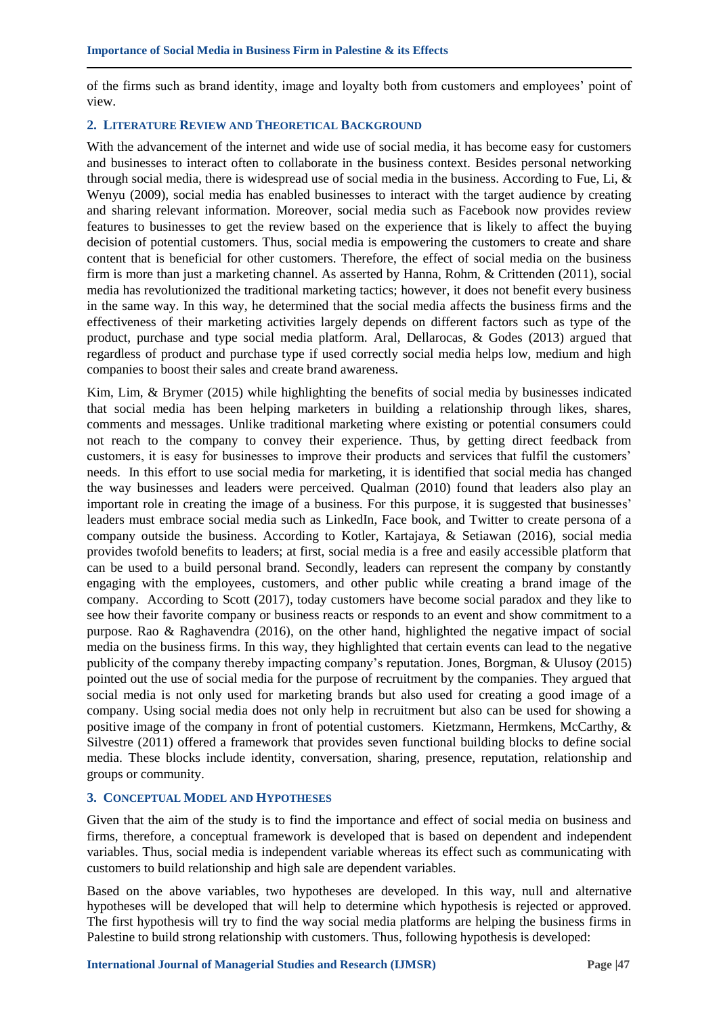of the firms such as brand identity, image and loyalty both from customers and employees' point of view.

## **2. LITERATURE REVIEW AND THEORETICAL BACKGROUND**

With the advancement of the internet and wide use of social media, it has become easy for customers and businesses to interact often to collaborate in the business context. Besides personal networking through social media, there is widespread use of social media in the business. According to Fue, Li, & Wenyu (2009), social media has enabled businesses to interact with the target audience by creating and sharing relevant information. Moreover, social media such as Facebook now provides review features to businesses to get the review based on the experience that is likely to affect the buying decision of potential customers. Thus, social media is empowering the customers to create and share content that is beneficial for other customers. Therefore, the effect of social media on the business firm is more than just a marketing channel. As asserted by Hanna, Rohm, & Crittenden (2011), social media has revolutionized the traditional marketing tactics; however, it does not benefit every business in the same way. In this way, he determined that the social media affects the business firms and the effectiveness of their marketing activities largely depends on different factors such as type of the product, purchase and type social media platform. Aral, Dellarocas, & Godes (2013) argued that regardless of product and purchase type if used correctly social media helps low, medium and high companies to boost their sales and create brand awareness.

Kim, Lim, & Brymer (2015) while highlighting the benefits of social media by businesses indicated that social media has been helping marketers in building a relationship through likes, shares, comments and messages. Unlike traditional marketing where existing or potential consumers could not reach to the company to convey their experience. Thus, by getting direct feedback from customers, it is easy for businesses to improve their products and services that fulfil the customers' needs. In this effort to use social media for marketing, it is identified that social media has changed the way businesses and leaders were perceived. Qualman (2010) found that leaders also play an important role in creating the image of a business. For this purpose, it is suggested that businesses' leaders must embrace social media such as LinkedIn, Face book, and Twitter to create persona of a company outside the business. According to Kotler, Kartajaya, & Setiawan (2016), social media provides twofold benefits to leaders; at first, social media is a free and easily accessible platform that can be used to a build personal brand. Secondly, leaders can represent the company by constantly engaging with the employees, customers, and other public while creating a brand image of the company. According to Scott (2017), today customers have become social paradox and they like to see how their favorite company or business reacts or responds to an event and show commitment to a purpose. Rao & Raghavendra (2016), on the other hand, highlighted the negative impact of social media on the business firms. In this way, they highlighted that certain events can lead to the negative publicity of the company thereby impacting company's reputation. Jones, Borgman, & Ulusoy (2015) pointed out the use of social media for the purpose of recruitment by the companies. They argued that social media is not only used for marketing brands but also used for creating a good image of a company. Using social media does not only help in recruitment but also can be used for showing a positive image of the company in front of potential customers. Kietzmann, Hermkens, McCarthy, & Silvestre (2011) offered a framework that provides seven functional building blocks to define social media. These blocks include identity, conversation, sharing, presence, reputation, relationship and groups or community.

## **3. CONCEPTUAL MODEL AND HYPOTHESES**

Given that the aim of the study is to find the importance and effect of social media on business and firms, therefore, a conceptual framework is developed that is based on dependent and independent variables. Thus, social media is independent variable whereas its effect such as communicating with customers to build relationship and high sale are dependent variables.

Based on the above variables, two hypotheses are developed. In this way, null and alternative hypotheses will be developed that will help to determine which hypothesis is rejected or approved. The first hypothesis will try to find the way social media platforms are helping the business firms in Palestine to build strong relationship with customers. Thus, following hypothesis is developed: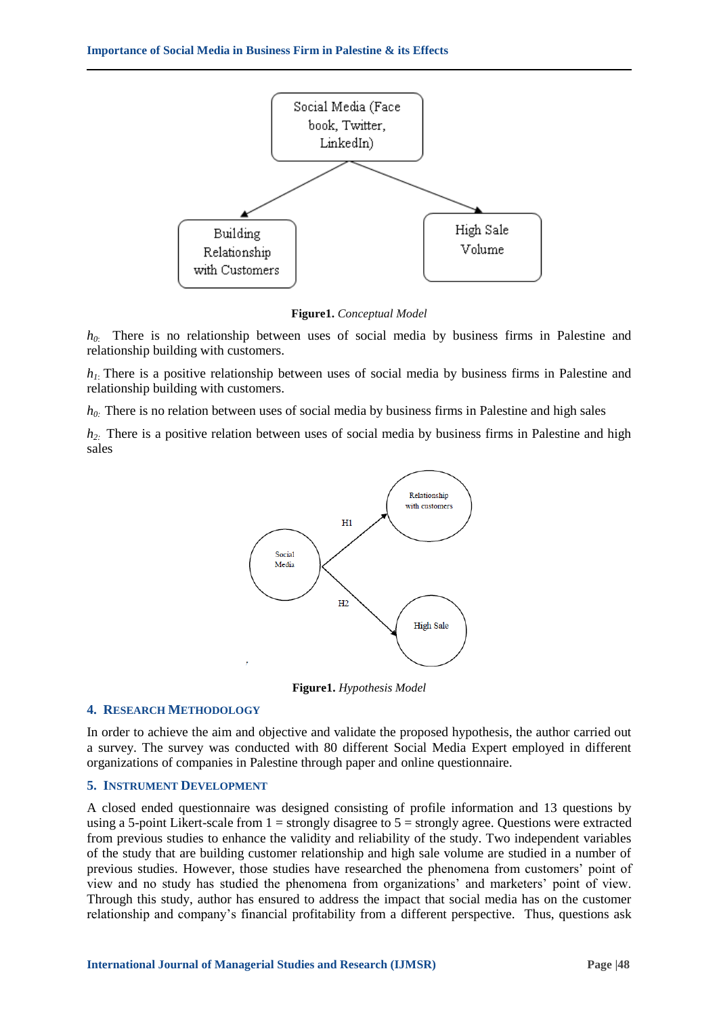

**Figure1.** *Conceptual Model*

*h0*: There is no relationship between uses of social media by business firms in Palestine and relationship building with customers.

 $h_l$ : There is a positive relationship between uses of social media by business firms in Palestine and relationship building with customers.

*h0:* There is no relation between uses of social media by business firms in Palestine and high sales

*h2:* There is a positive relation between uses of social media by business firms in Palestine and high sales



**Figure1.** *Hypothesis Model*

## **4. RESEARCH METHODOLOGY**

In order to achieve the aim and objective and validate the proposed hypothesis, the author carried out a survey. The survey was conducted with 80 different Social Media Expert employed in different organizations of companies in Palestine through paper and online questionnaire.

## **5. INSTRUMENT DEVELOPMENT**

A closed ended questionnaire was designed consisting of profile information and 13 questions by using a 5-point Likert-scale from  $1 =$  strongly disagree to  $5 =$  strongly agree. Questions were extracted from previous studies to enhance the validity and reliability of the study. Two independent variables of the study that are building customer relationship and high sale volume are studied in a number of previous studies. However, those studies have researched the phenomena from customers' point of view and no study has studied the phenomena from organizations' and marketers' point of view. Through this study, author has ensured to address the impact that social media has on the customer relationship and company's financial profitability from a different perspective. Thus, questions ask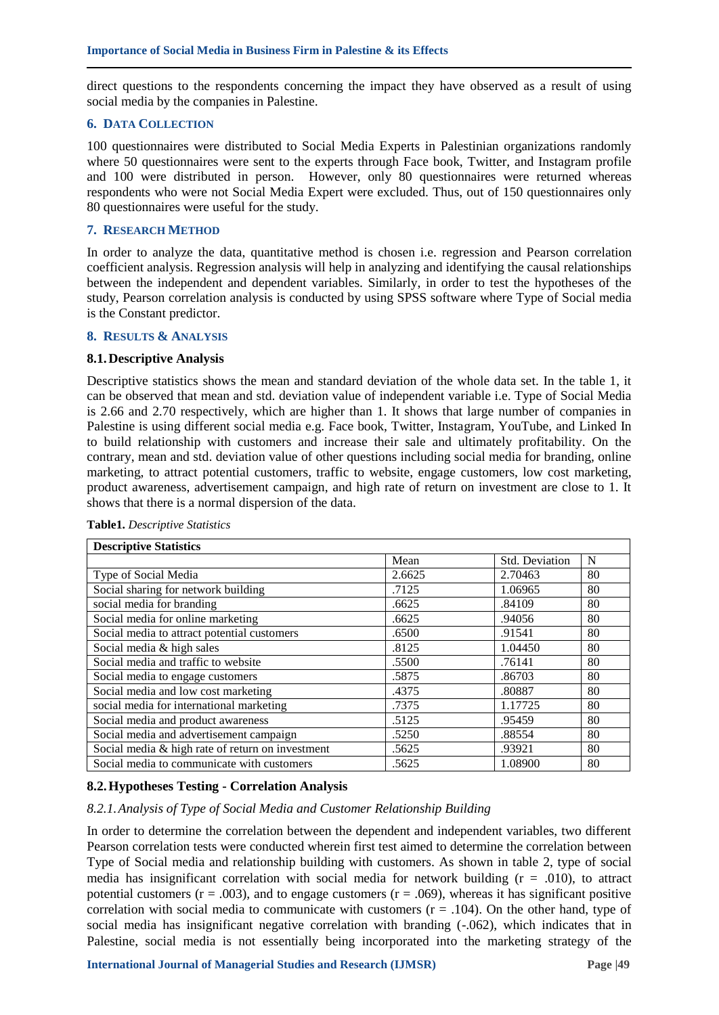direct questions to the respondents concerning the impact they have observed as a result of using social media by the companies in Palestine.

## **6. DATA COLLECTION**

100 questionnaires were distributed to Social Media Experts in Palestinian organizations randomly where 50 questionnaires were sent to the experts through Face book, Twitter, and Instagram profile and 100 were distributed in person. However, only 80 questionnaires were returned whereas respondents who were not Social Media Expert were excluded. Thus, out of 150 questionnaires only 80 questionnaires were useful for the study.

# **7. RESEARCH METHOD**

In order to analyze the data, quantitative method is chosen i.e. regression and Pearson correlation coefficient analysis. Regression analysis will help in analyzing and identifying the causal relationships between the independent and dependent variables. Similarly, in order to test the hypotheses of the study, Pearson correlation analysis is conducted by using SPSS software where Type of Social media is the Constant predictor.

# **8. RESULTS & ANALYSIS**

## **8.1.Descriptive Analysis**

Descriptive statistics shows the mean and standard deviation of the whole data set. In the table 1, it can be observed that mean and std. deviation value of independent variable i.e. Type of Social Media is 2.66 and 2.70 respectively, which are higher than 1. It shows that large number of companies in Palestine is using different social media e.g. Face book, Twitter, Instagram, YouTube, and Linked In to build relationship with customers and increase their sale and ultimately profitability. On the contrary, mean and std. deviation value of other questions including social media for branding, online marketing, to attract potential customers, traffic to website, engage customers, low cost marketing, product awareness, advertisement campaign, and high rate of return on investment are close to 1. It shows that there is a normal dispersion of the data.

| <b>Descriptive Statistics</b>                    |        |                |    |  |  |  |  |
|--------------------------------------------------|--------|----------------|----|--|--|--|--|
|                                                  | Mean   | Std. Deviation | N  |  |  |  |  |
| Type of Social Media                             | 2.6625 | 2.70463        | 80 |  |  |  |  |
| Social sharing for network building              | .7125  | 1.06965        | 80 |  |  |  |  |
| social media for branding                        | .6625  | .84109         | 80 |  |  |  |  |
| Social media for online marketing                | .6625  | .94056         | 80 |  |  |  |  |
| Social media to attract potential customers      | .6500  | .91541         | 80 |  |  |  |  |
| Social media & high sales                        | .8125  | 1.04450        | 80 |  |  |  |  |
| Social media and traffic to website              | .5500  | .76141         | 80 |  |  |  |  |
| Social media to engage customers                 | .5875  | .86703         | 80 |  |  |  |  |
| Social media and low cost marketing              | .4375  | .80887         | 80 |  |  |  |  |
| social media for international marketing         | .7375  | 1.17725        | 80 |  |  |  |  |
| Social media and product awareness               | .5125  | .95459         | 80 |  |  |  |  |
| Social media and advertisement campaign          | .5250  | .88554         | 80 |  |  |  |  |
| Social media & high rate of return on investment | .5625  | .93921         | 80 |  |  |  |  |
| Social media to communicate with customers       | .5625  | 1.08900        | 80 |  |  |  |  |

**Table1.** *Descriptive Statistics*

# **8.2.Hypotheses Testing - Correlation Analysis**

## *8.2.1.Analysis of Type of Social Media and Customer Relationship Building*

In order to determine the correlation between the dependent and independent variables, two different Pearson correlation tests were conducted wherein first test aimed to determine the correlation between Type of Social media and relationship building with customers. As shown in table 2, type of social media has insignificant correlation with social media for network building  $(r = .010)$ , to attract potential customers ( $r = .003$ ), and to engage customers ( $r = .069$ ), whereas it has significant positive correlation with social media to communicate with customers  $(r = .104)$ . On the other hand, type of social media has insignificant negative correlation with branding (-.062), which indicates that in Palestine, social media is not essentially being incorporated into the marketing strategy of the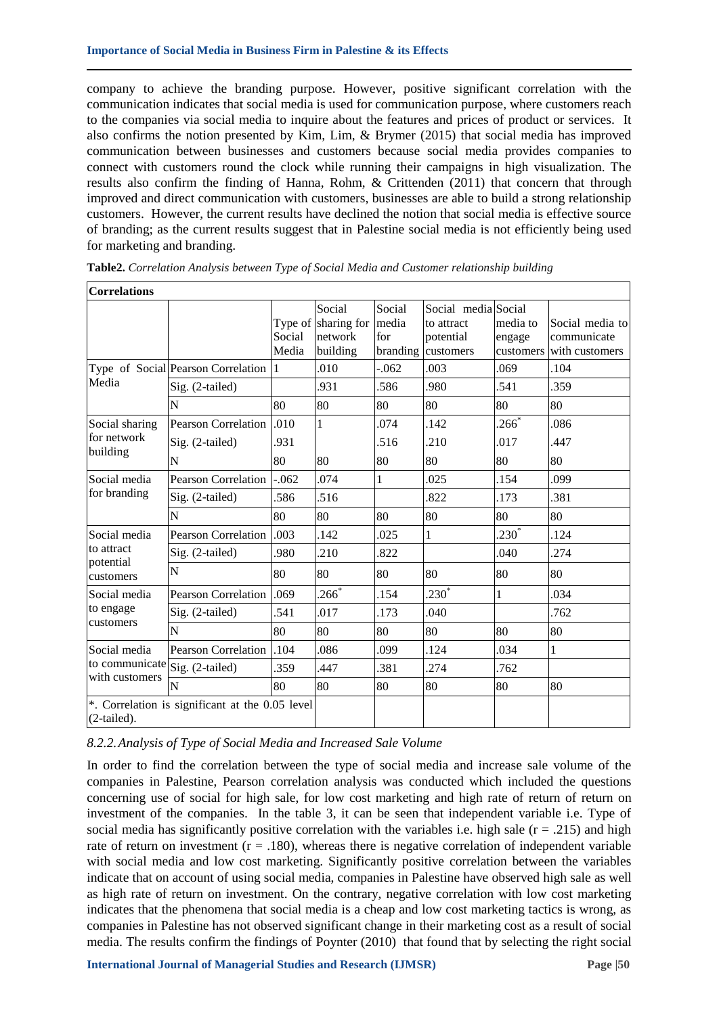company to achieve the branding purpose. However, positive significant correlation with the communication indicates that social media is used for communication purpose, where customers reach to the companies via social media to inquire about the features and prices of product or services. It also confirms the notion presented by Kim, Lim, & Brymer (2015) that social media has improved communication between businesses and customers because social media provides companies to connect with customers round the clock while running their campaigns in high visualization. The results also confirm the finding of Hanna, Rohm, & Crittenden (2011) that concern that through improved and direct communication with customers, businesses are able to build a strong relationship customers. However, the current results have declined the notion that social media is effective source of branding; as the current results suggest that in Palestine social media is not efficiently being used for marketing and branding.

| <b>Correlations</b>            |                                                 |                 |                                                      |                                    |                                                             |                                 |                                                  |
|--------------------------------|-------------------------------------------------|-----------------|------------------------------------------------------|------------------------------------|-------------------------------------------------------------|---------------------------------|--------------------------------------------------|
|                                |                                                 | Social<br>Media | Social<br>Type of sharing for<br>network<br>building | Social<br>media<br>for<br>branding | Social media Social<br>to attract<br>potential<br>customers | media to<br>engage<br>customers | Social media to<br>communicate<br>with customers |
|                                | Type of Social Pearson Correlation 1            |                 | .010                                                 | $-0.062$                           | .003                                                        | .069                            | .104                                             |
| Media                          | Sig. (2-tailed)                                 |                 | .931                                                 | .586                               | .980                                                        | 541                             | .359                                             |
|                                | N                                               | 80              | 80                                                   | 80                                 | 80                                                          | 80                              | 80                                               |
| Social sharing                 | <b>Pearson Correlation</b>                      | .010            | 1                                                    | .074                               | .142                                                        | $266*$                          | .086                                             |
| for network                    | Sig. (2-tailed)                                 | .931            |                                                      | .516                               | .210                                                        | .017                            | .447                                             |
| building                       | N                                               | 80              | 80                                                   | 80                                 | 80                                                          | 80                              | 80                                               |
| Social media                   | <b>Pearson Correlation</b>                      | $-.062$         | .074                                                 | 1                                  | .025                                                        | 154                             | .099                                             |
| for branding                   | Sig. (2-tailed)                                 | 586             | .516                                                 |                                    | .822                                                        | .173                            | .381                                             |
|                                | N                                               | 80              | 80                                                   | 80                                 | 80                                                          | 80                              | 80                                               |
| Social media                   | <b>Pearson Correlation</b>                      | .003            | .142                                                 | .025                               | 1                                                           | $230^*$                         | .124                                             |
| to attract                     | Sig. (2-tailed)                                 | .980            | .210                                                 | .822                               |                                                             | .040                            | .274                                             |
| potential<br>customers         | N                                               | 80              | 80                                                   | 80                                 | 80                                                          | 80                              | 80                                               |
| Social media                   | <b>Pearson Correlation</b>                      | .069            | $.266*$                                              | .154                               | $230^*$                                                     | 1                               | .034                                             |
| to engage                      | Sig. (2-tailed)                                 | .541            | .017                                                 | .173                               | .040                                                        |                                 | .762                                             |
| customers                      | N                                               | 80              | 80                                                   | 80                                 | 80                                                          | 80                              | 80                                               |
| Social media                   | <b>Pearson Correlation</b>                      | .104            | .086                                                 | .099                               | .124                                                        | .034                            | 1                                                |
| to communicate Sig. (2-tailed) |                                                 | 359             | .447                                                 | 381                                | .274                                                        | .762                            |                                                  |
| with customers                 | $\overline{N}$                                  | 80              | 80                                                   | 80                                 | 80                                                          | 80                              | 80                                               |
| (2-tailed).                    | *. Correlation is significant at the 0.05 level |                 |                                                      |                                    |                                                             |                                 |                                                  |

**Table2.** *Correlation Analysis between Type of Social Media and Customer relationship building*

## *8.2.2.Analysis of Type of Social Media and Increased Sale Volume*

In order to find the correlation between the type of social media and increase sale volume of the companies in Palestine, Pearson correlation analysis was conducted which included the questions concerning use of social for high sale, for low cost marketing and high rate of return of return on investment of the companies. In the table 3, it can be seen that independent variable i.e. Type of social media has significantly positive correlation with the variables i.e. high sale ( $r = .215$ ) and high rate of return on investment  $(r = .180)$ , whereas there is negative correlation of independent variable with social media and low cost marketing. Significantly positive correlation between the variables indicate that on account of using social media, companies in Palestine have observed high sale as well as high rate of return on investment. On the contrary, negative correlation with low cost marketing indicates that the phenomena that social media is a cheap and low cost marketing tactics is wrong, as companies in Palestine has not observed significant change in their marketing cost as a result of social media. The results confirm the findings of Poynter (2010) that found that by selecting the right social

ו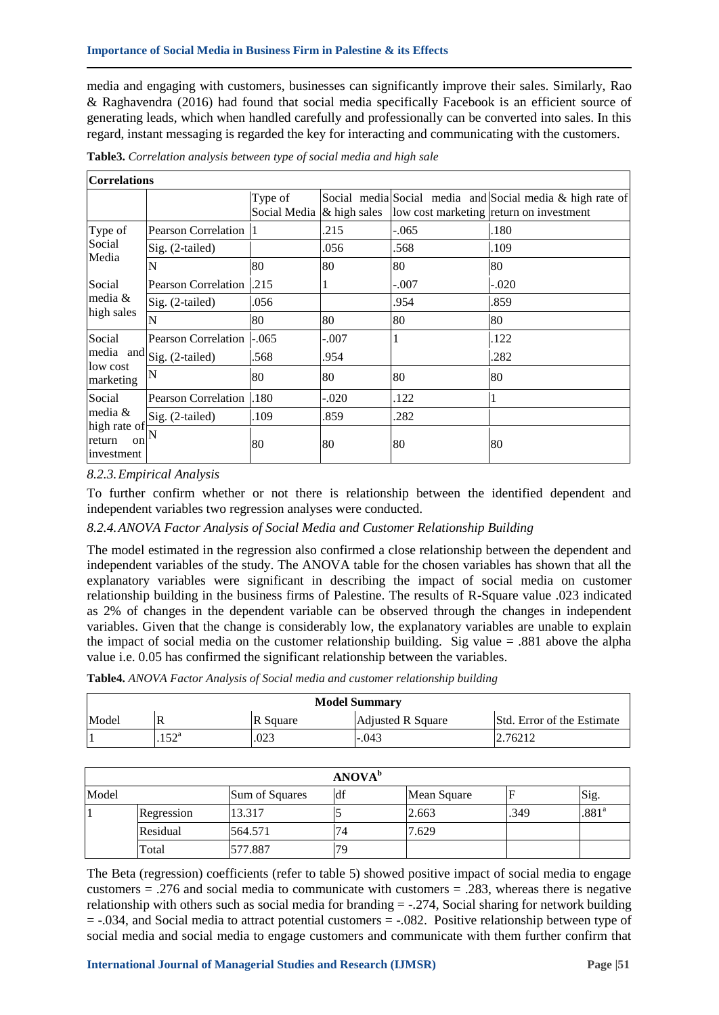media and engaging with customers, businesses can significantly improve their sales. Similarly, Rao & Raghavendra (2016) had found that social media specifically Facebook is an efficient source of generating leads, which when handled carefully and professionally can be converted into sales. In this regard, instant messaging is regarded the key for interacting and communicating with the customers.

| Table3. Correlation analysis between type of social media and high sale |  |  |  |  |
|-------------------------------------------------------------------------|--|--|--|--|
|                                                                         |  |  |  |  |

## **Correlations**

|                                                                   |                            | Type of<br>Social Media | & high sales |         | Social media Social media and Social media & high rate of<br>low cost marketing return on investment |
|-------------------------------------------------------------------|----------------------------|-------------------------|--------------|---------|------------------------------------------------------------------------------------------------------|
| Type of                                                           | <b>Pearson Correlation</b> |                         | .215         | $-.065$ | .180                                                                                                 |
| Social                                                            | $Sig. (2-tailed)$          |                         | .056         | .568    | .109                                                                                                 |
| Media                                                             | N                          | 80                      | 80           | 80      | 80                                                                                                   |
| Social                                                            | <b>Pearson Correlation</b> | .215                    |              | $-.007$ | $-.020$                                                                                              |
| media $&$                                                         | $Sig. (2-tailed)$          | .056                    |              | .954    | .859                                                                                                 |
| high sales                                                        | N                          | 80                      | 80           | 80      | 80                                                                                                   |
| Social                                                            | <b>Pearson Correlation</b> | $-.065$                 | $-.007$      |         | .122                                                                                                 |
|                                                                   | media and Sig. (2-tailed)  | .568                    | .954         |         | .282                                                                                                 |
| low cost<br>marketing                                             | N                          | 80                      | 80           | 80      | 80                                                                                                   |
| Social<br>media $&$<br>high rate of<br>return<br>on<br>investment | <b>Pearson Correlation</b> | .180                    | $-.020$      | .122    |                                                                                                      |
|                                                                   | $Sig. (2-tailed)$          | .109                    | .859         | .282    |                                                                                                      |
|                                                                   |                            | 80                      | 80           | 80      | 80                                                                                                   |

## *8.2.3.Empirical Analysis*

To further confirm whether or not there is relationship between the identified dependent and independent variables two regression analyses were conducted.

# *8.2.4.ANOVA Factor Analysis of Social Media and Customer Relationship Building*

The model estimated in the regression also confirmed a close relationship between the dependent and independent variables of the study. The ANOVA table for the chosen variables has shown that all the explanatory variables were significant in describing the impact of social media on customer relationship building in the business firms of Palestine. The results of R-Square value .023 indicated as 2% of changes in the dependent variable can be observed through the changes in independent variables. Given that the change is considerably low, the explanatory variables are unable to explain the impact of social media on the customer relationship building. Sig value = .881 above the alpha value i.e. 0.05 has confirmed the significant relationship between the variables.

| <b>Model Summary</b> |      |          |                   |                                   |  |  |
|----------------------|------|----------|-------------------|-----------------------------------|--|--|
| Model                | R    | R Square | Adjusted R Square | <b>Std.</b> Error of the Estimate |  |  |
|                      | ∟roa | .023     | $-.043$           | 2.76212                           |  |  |

**Table4.** *ANOVA Factor Analysis of Social media and customer relationship building*

|                                                       |            |         | <b>ANOVA</b> <sup>b</sup> |       |      |                   |
|-------------------------------------------------------|------------|---------|---------------------------|-------|------|-------------------|
| Model<br>Sig.<br>ldf<br>Sum of Squares<br>Mean Square |            |         |                           |       |      |                   |
|                                                       | Regression | 13.317  |                           | 2.663 | .349 | .881 <sup>a</sup> |
|                                                       | Residual   | 564.571 | 74                        | 7.629 |      |                   |
|                                                       | Total      | 577.887 | 70                        |       |      |                   |

The Beta (regression) coefficients (refer to table 5) showed positive impact of social media to engage customers = .276 and social media to communicate with customers = .283, whereas there is negative relationship with others such as social media for branding = -.274, Social sharing for network building = -.034, and Social media to attract potential customers = -.082. Positive relationship between type of social media and social media to engage customers and communicate with them further confirm that

⅂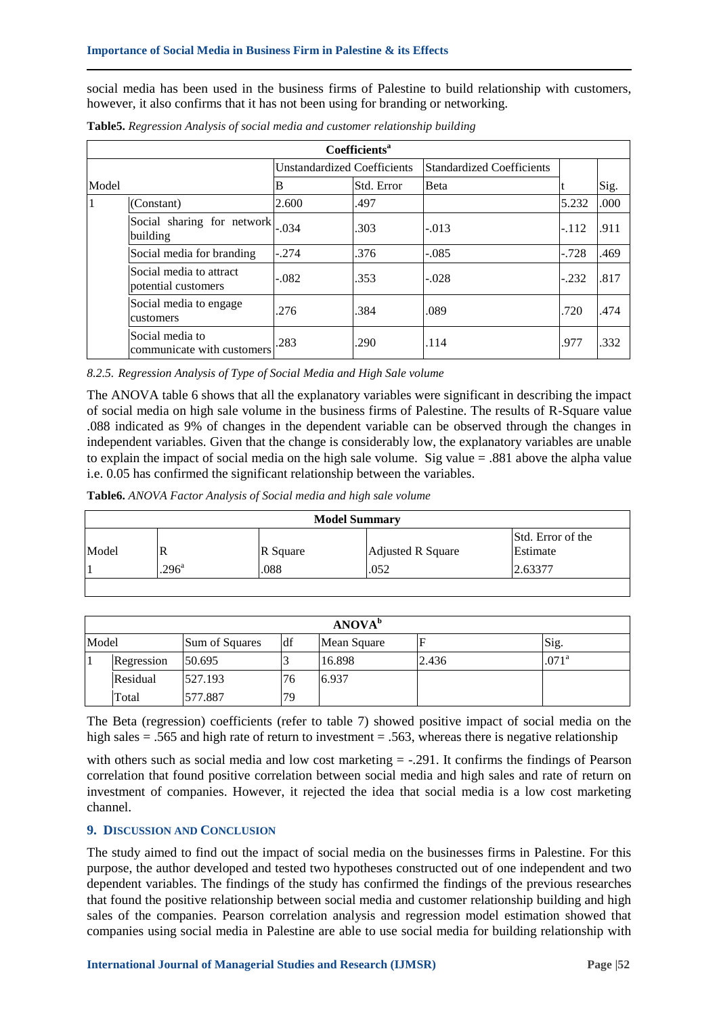social media has been used in the business firms of Palestine to build relationship with customers, however, it also confirms that it has not been using for branding or networking.

|       | <b>Coefficients<sup>a</sup></b>                |                                    |            |                                  |         |      |  |  |  |
|-------|------------------------------------------------|------------------------------------|------------|----------------------------------|---------|------|--|--|--|
|       |                                                | <b>Unstandardized Coefficients</b> |            | <b>Standardized Coefficients</b> |         |      |  |  |  |
| Model |                                                | B                                  | Std. Error | <b>B</b> eta                     |         | Sig. |  |  |  |
| 1     | (Constant)                                     | 2.600                              | .497       |                                  | 5.232   | .000 |  |  |  |
|       | Social sharing for network<br>building         | $-.034$                            | .303       | $-.013$                          | $-.112$ | .911 |  |  |  |
|       | Social media for branding                      | $-.274$                            | .376       | $-.085$                          | $-.728$ | .469 |  |  |  |
|       | Social media to attract<br>potential customers | $-.082$                            | .353       | $-.028$                          | $-.232$ | .817 |  |  |  |
|       | Social media to engage<br>customers            | .276                               | .384       | .089                             | .720    | .474 |  |  |  |
|       | Social media to<br>communicate with customers  | .283                               | .290       | .114                             | .977    | .332 |  |  |  |

**Table5.** *Regression Analysis of social media and customer relationship building*

*8.2.5. Regression Analysis of Type of Social Media and High Sale volume*

The ANOVA table 6 shows that all the explanatory variables were significant in describing the impact of social media on high sale volume in the business firms of Palestine. The results of R-Square value .088 indicated as 9% of changes in the dependent variable can be observed through the changes in independent variables. Given that the change is considerably low, the explanatory variables are unable to explain the impact of social media on the high sale volume. Sig value = .881 above the alpha value i.e. 0.05 has confirmed the significant relationship between the variables.

**Table6.** *ANOVA Factor Analysis of Social media and high sale volume*

| <b>Model Summary</b>                                                    |                   |      |      |         |  |  |
|-------------------------------------------------------------------------|-------------------|------|------|---------|--|--|
| Std. Error of the<br>Model<br>Estimate<br>Adjusted R Square<br>R Square |                   |      |      |         |  |  |
|                                                                         | .296 <sup>a</sup> | .088 | .052 | 2.63377 |  |  |

| ANOVA <sup>b</sup>                                         |         |    |        |       |                   |  |  |
|------------------------------------------------------------|---------|----|--------|-------|-------------------|--|--|
| df<br>Model<br>Sig.<br>ΙF<br>Sum of Squares<br>Mean Square |         |    |        |       |                   |  |  |
| Regression                                                 | 50.695  |    | 16.898 | 2.436 | .071 <sup>a</sup> |  |  |
| Residual                                                   | 527.193 | 76 | 6.937  |       |                   |  |  |
| Total                                                      | 577.887 | 79 |        |       |                   |  |  |

The Beta (regression) coefficients (refer to table 7) showed positive impact of social media on the high sales = .565 and high rate of return to investment = .563, whereas there is negative relationship

with others such as social media and low cost marketing  $= -0.291$ . It confirms the findings of Pearson correlation that found positive correlation between social media and high sales and rate of return on investment of companies. However, it rejected the idea that social media is a low cost marketing channel.

## **9. DISCUSSION AND CONCLUSION**

The study aimed to find out the impact of social media on the businesses firms in Palestine. For this purpose, the author developed and tested two hypotheses constructed out of one independent and two dependent variables. The findings of the study has confirmed the findings of the previous researches that found the positive relationship between social media and customer relationship building and high sales of the companies. Pearson correlation analysis and regression model estimation showed that companies using social media in Palestine are able to use social media for building relationship with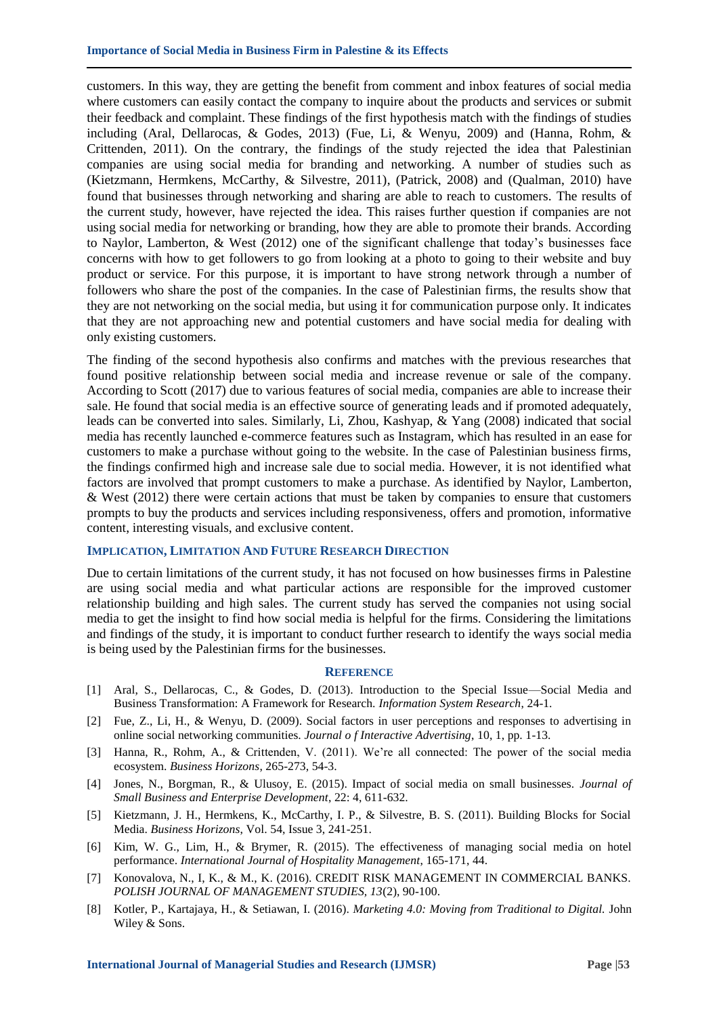customers. In this way, they are getting the benefit from comment and inbox features of social media where customers can easily contact the company to inquire about the products and services or submit their feedback and complaint. These findings of the first hypothesis match with the findings of studies including (Aral, Dellarocas, & Godes, 2013) (Fue, Li, & Wenyu, 2009) and (Hanna, Rohm, & Crittenden, 2011). On the contrary, the findings of the study rejected the idea that Palestinian companies are using social media for branding and networking. A number of studies such as (Kietzmann, Hermkens, McCarthy, & Silvestre, 2011), (Patrick, 2008) and (Qualman, 2010) have found that businesses through networking and sharing are able to reach to customers. The results of the current study, however, have rejected the idea. This raises further question if companies are not using social media for networking or branding, how they are able to promote their brands. According to Naylor, Lamberton, & West (2012) one of the significant challenge that today's businesses face concerns with how to get followers to go from looking at a photo to going to their website and buy product or service. For this purpose, it is important to have strong network through a number of followers who share the post of the companies. In the case of Palestinian firms, the results show that they are not networking on the social media, but using it for communication purpose only. It indicates that they are not approaching new and potential customers and have social media for dealing with only existing customers.

The finding of the second hypothesis also confirms and matches with the previous researches that found positive relationship between social media and increase revenue or sale of the company. According to Scott (2017) due to various features of social media, companies are able to increase their sale. He found that social media is an effective source of generating leads and if promoted adequately, leads can be converted into sales. Similarly, Li, Zhou, Kashyap, & Yang (2008) indicated that social media has recently launched e-commerce features such as Instagram, which has resulted in an ease for customers to make a purchase without going to the website. In the case of Palestinian business firms, the findings confirmed high and increase sale due to social media. However, it is not identified what factors are involved that prompt customers to make a purchase. As identified by Naylor, Lamberton, & West (2012) there were certain actions that must be taken by companies to ensure that customers prompts to buy the products and services including responsiveness, offers and promotion, informative content, interesting visuals, and exclusive content.

## **IMPLICATION, LIMITATION AND FUTURE RESEARCH DIRECTION**

Due to certain limitations of the current study, it has not focused on how businesses firms in Palestine are using social media and what particular actions are responsible for the improved customer relationship building and high sales. The current study has served the companies not using social media to get the insight to find how social media is helpful for the firms. Considering the limitations and findings of the study, it is important to conduct further research to identify the ways social media is being used by the Palestinian firms for the businesses.

#### **REFERENCE**

- [1] Aral, S., Dellarocas, C., & Godes, D. (2013). Introduction to the Special Issue—Social Media and Business Transformation: A Framework for Research. *Information System Research*, 24-1.
- [2] Fue, Z., Li, H., & Wenyu, D. (2009). Social factors in user perceptions and responses to advertising in online social networking communities. *Journal o f Interactive Advertising*, 10, 1, pp. 1-13.
- [3] Hanna, R., Rohm, A., & Crittenden, V. (2011). We're all connected: The power of the social media ecosystem. *Business Horizons*, 265-273, 54-3.
- [4] Jones, N., Borgman, R., & Ulusoy, E. (2015). Impact of social media on small businesses. *Journal of Small Business and Enterprise Development*, 22: 4, 611-632.
- [5] Kietzmann, J. H., Hermkens, K., McCarthy, I. P., & Silvestre, B. S. (2011). Building Blocks for Social Media. *Business Horizons*, Vol. 54, Issue 3, 241-251.
- [6] Kim, W. G., Lim, H., & Brymer, R. (2015). The effectiveness of managing social media on hotel performance. *International Journal of Hospitality Management*, 165-171, 44.
- [7] Konovalova, N., I, K., & M., K. (2016). CREDIT RISK MANAGEMENT IN COMMERCIAL BANKS. *POLISH JOURNAL OF MANAGEMENT STUDIES, 13*(2), 90-100.
- [8] Kotler, P., Kartajaya, H., & Setiawan, I. (2016). *Marketing 4.0: Moving from Traditional to Digital.* John Wiley & Sons.